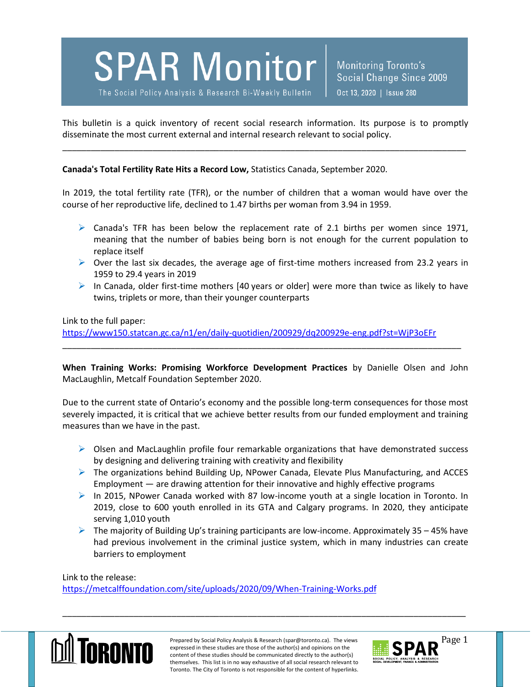

Monitoring Toronto's Social Change Since 2009 Oct 13, 2020 | Issue 280

This bulletin is a quick inventory of recent social research information. Its purpose is to promptly disseminate the most current external and internal research relevant to social policy.

\_\_\_\_\_\_\_\_\_\_\_\_\_\_\_\_\_\_\_\_\_\_\_\_\_\_\_\_\_\_\_\_\_\_\_\_\_\_\_\_\_\_\_\_\_\_\_\_\_\_\_\_\_\_\_\_\_\_\_\_\_\_\_\_\_\_\_\_\_\_\_\_\_\_\_\_\_\_\_\_\_\_\_\_\_

**Canada's Total Fertility Rate Hits a Record Low,** Statistics Canada, September 2020.

In 2019, the total fertility rate (TFR), or the number of children that a woman would have over the course of her reproductive life, declined to 1.47 births per woman from 3.94 in 1959.

- $\triangleright$  Canada's TFR has been below the replacement rate of 2.1 births per women since 1971, meaning that the number of babies being born is not enough for the current population to replace itself
- $\triangleright$  Over the last six decades, the average age of first-time mothers increased from 23.2 years in 1959 to 29.4 years in 2019
- In Canada, older first-time mothers [40 years or older] were more than twice as likely to have twins, triplets or more, than their younger counterparts

Link to the full paper:

<https://www150.statcan.gc.ca/n1/en/daily-quotidien/200929/dq200929e-eng.pdf?st=WjP3oEFr>

**When Training Works: Promising Workforce Development Practices** by Danielle Olsen and John MacLaughlin, Metcalf Foundation September 2020.

\_\_\_\_\_\_\_\_\_\_\_\_\_\_\_\_\_\_\_\_\_\_\_\_\_\_\_\_\_\_\_\_\_\_\_\_\_\_\_\_\_\_\_\_\_\_\_\_\_\_\_\_\_\_\_\_\_\_\_\_\_\_\_\_\_\_\_\_\_\_\_\_\_\_\_\_\_\_\_\_\_\_\_\_

Due to the current state of Ontario's economy and the possible long-term consequences for those most severely impacted, it is critical that we achieve better results from our funded employment and training measures than we have in the past.

- $\triangleright$  Olsen and MacLaughlin profile four remarkable organizations that have demonstrated success by designing and delivering training with creativity and flexibility
- $\triangleright$  The organizations behind Building Up, NPower Canada, Elevate Plus Manufacturing, and ACCES Employment — are drawing attention for their innovative and highly effective programs
- $\triangleright$  In 2015, NPower Canada worked with 87 low-income youth at a single location in Toronto. In 2019, close to 600 youth enrolled in its GTA and Calgary programs. In 2020, they anticipate serving 1,010 youth
- $\triangleright$  The majority of Building Up's training participants are low-income. Approximately 35 45% have had previous involvement in the criminal justice system, which in many industries can create barriers to employment

Link to the release:

<https://metcalffoundation.com/site/uploads/2020/09/When-Training-Works.pdf>



Prepared by Social Policy Analysis & Research (spar@toronto.ca). The views Page 1 expressed in these studies are those of the author(s) and opinions on the content of these studies should be communicated directly to the author(s) themselves. This list is in no way exhaustive of all social research relevant to Toronto. The City of Toronto is not responsible for the content of hyperlinks.

\_\_\_\_\_\_\_\_\_\_\_\_\_\_\_\_\_\_\_\_\_\_\_\_\_\_\_\_\_\_\_\_\_\_\_\_\_\_\_\_\_\_\_\_\_\_\_\_\_\_\_\_\_\_\_\_\_\_\_\_\_\_\_\_\_\_\_\_\_\_\_\_\_\_\_\_\_\_\_\_\_\_\_\_\_

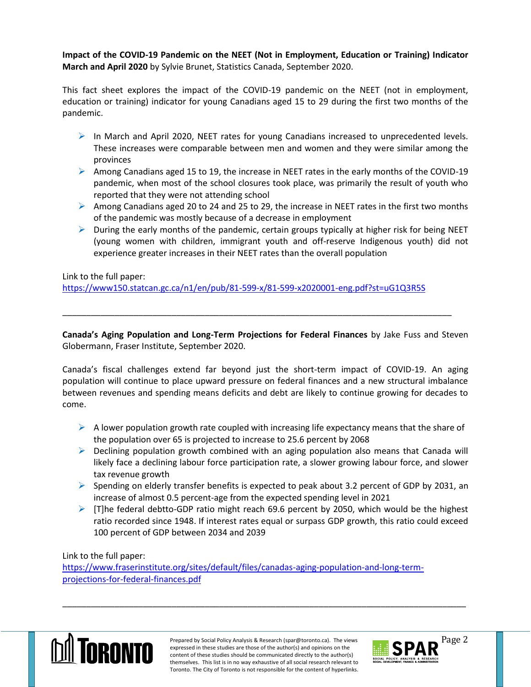**Impact of the COVID-19 Pandemic on the NEET (Not in Employment, Education or Training) Indicator March and April 2020** by Sylvie Brunet, Statistics Canada, September 2020.

This fact sheet explores the impact of the COVID-19 pandemic on the NEET (not in employment, education or training) indicator for young Canadians aged 15 to 29 during the first two months of the pandemic.

- $\triangleright$  In March and April 2020, NEET rates for young Canadians increased to unprecedented levels. These increases were comparable between men and women and they were similar among the provinces
- Among Canadians aged 15 to 19, the increase in NEET rates in the early months of the COVID-19 pandemic, when most of the school closures took place, was primarily the result of youth who reported that they were not attending school
- Among Canadians aged 20 to 24 and 25 to 29, the increase in NEET rates in the first two months of the pandemic was mostly because of a decrease in employment
- $\triangleright$  During the early months of the pandemic, certain groups typically at higher risk for being NEET (young women with children, immigrant youth and off-reserve Indigenous youth) did not experience greater increases in their NEET rates than the overall population

Link to the full paper:

<https://www150.statcan.gc.ca/n1/en/pub/81-599-x/81-599-x2020001-eng.pdf?st=uG1Q3R5S>

**Canada's Aging Population and Long-Term Projections for Federal Finances** by Jake Fuss and Steven Globermann, Fraser Institute, September 2020.

\_\_\_\_\_\_\_\_\_\_\_\_\_\_\_\_\_\_\_\_\_\_\_\_\_\_\_\_\_\_\_\_\_\_\_\_\_\_\_\_\_\_\_\_\_\_\_\_\_\_\_\_\_\_\_\_\_\_\_\_\_\_\_\_\_\_\_\_\_\_\_\_\_\_\_\_\_\_\_\_\_\_

Canada's fiscal challenges extend far beyond just the short-term impact of COVID-19. An aging population will continue to place upward pressure on federal finances and a new structural imbalance between revenues and spending means deficits and debt are likely to continue growing for decades to come.

- $\triangleright$  A lower population growth rate coupled with increasing life expectancy means that the share of the population over 65 is projected to increase to 25.6 percent by 2068
- $\triangleright$  Declining population growth combined with an aging population also means that Canada will likely face a declining labour force participation rate, a slower growing labour force, and slower tax revenue growth
- $\triangleright$  Spending on elderly transfer benefits is expected to peak about 3.2 percent of GDP by 2031, an increase of almost 0.5 percent-age from the expected spending level in 2021
- $\triangleright$  [T]he federal debtto-GDP ratio might reach 69.6 percent by 2050, which would be the highest ratio recorded since 1948. If interest rates equal or surpass GDP growth, this ratio could exceed 100 percent of GDP between 2034 and 2039

Link to the full paper:

[https://www.fraserinstitute.org/sites/default/files/canadas-aging-population-and-long-term](https://www.fraserinstitute.org/sites/default/files/canadas-aging-population-and-long-term-projections-for-federal-finances.pdf)[projections-for-federal-finances.pdf](https://www.fraserinstitute.org/sites/default/files/canadas-aging-population-and-long-term-projections-for-federal-finances.pdf)



Prepared by Social Policy Analysis & Research (spar@toronto.ca). The views Page 2 expressed in these studies are those of the author(s) and opinions on the content of these studies should be communicated directly to the author(s) themselves. This list is in no way exhaustive of all social research relevant to Toronto. The City of Toronto is not responsible for the content of hyperlinks.

\_\_\_\_\_\_\_\_\_\_\_\_\_\_\_\_\_\_\_\_\_\_\_\_\_\_\_\_\_\_\_\_\_\_\_\_\_\_\_\_\_\_\_\_\_\_\_\_\_\_\_\_\_\_\_\_\_\_\_\_\_\_\_\_\_\_\_\_\_\_\_\_\_\_\_\_\_\_\_\_\_\_\_\_\_